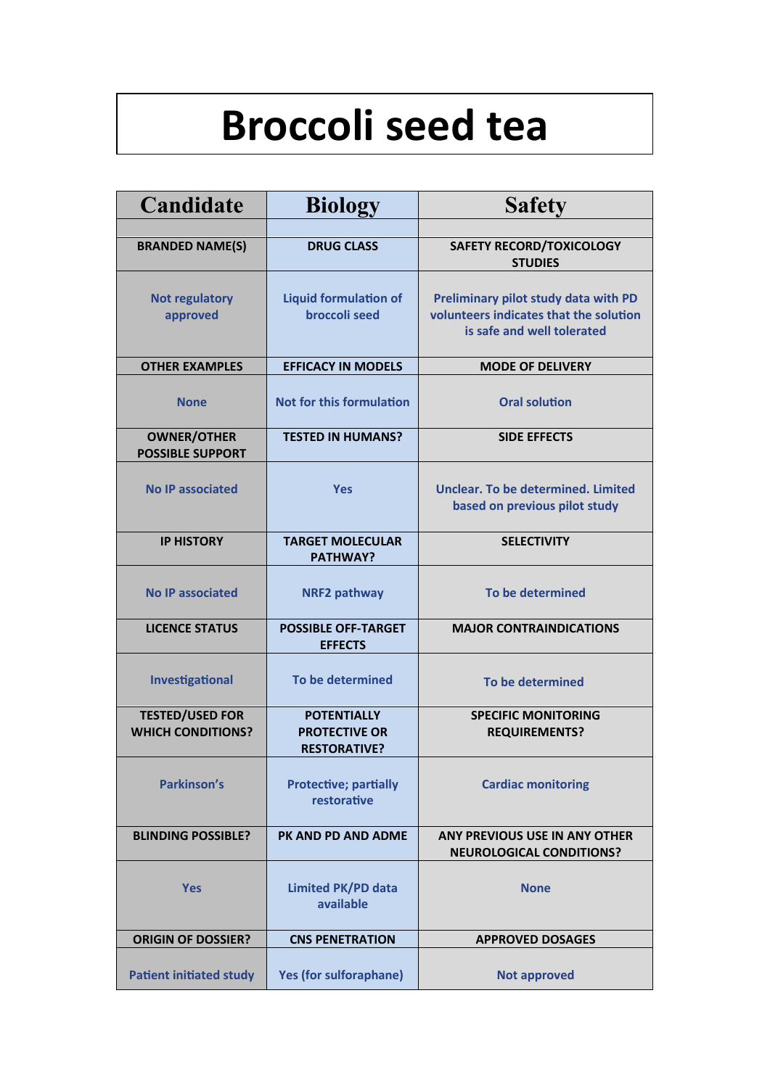# **Broccoli seed tea**

| Candidate                                          | <b>Biology</b>                                                    | <b>Safety</b>                                                                                                |  |  |  |
|----------------------------------------------------|-------------------------------------------------------------------|--------------------------------------------------------------------------------------------------------------|--|--|--|
|                                                    |                                                                   |                                                                                                              |  |  |  |
| <b>BRANDED NAME(S)</b>                             | <b>DRUG CLASS</b>                                                 | <b>SAFETY RECORD/TOXICOLOGY</b><br><b>STUDIES</b>                                                            |  |  |  |
| <b>Not regulatory</b><br>approved                  | <b>Liquid formulation of</b><br><b>broccoli seed</b>              | Preliminary pilot study data with PD<br>volunteers indicates that the solution<br>is safe and well tolerated |  |  |  |
| <b>OTHER EXAMPLES</b>                              | <b>EFFICACY IN MODELS</b>                                         | <b>MODE OF DELIVERY</b>                                                                                      |  |  |  |
| <b>None</b>                                        | Not for this formulation                                          | <b>Oral solution</b>                                                                                         |  |  |  |
| <b>OWNER/OTHER</b><br><b>POSSIBLE SUPPORT</b>      | <b>TESTED IN HUMANS?</b>                                          | <b>SIDE EFFECTS</b>                                                                                          |  |  |  |
| <b>No IP associated</b>                            | <b>Yes</b>                                                        | Unclear. To be determined. Limited<br>based on previous pilot study                                          |  |  |  |
| <b>IP HISTORY</b>                                  | <b>TARGET MOLECULAR</b><br><b>PATHWAY?</b>                        | <b>SELECTIVITY</b>                                                                                           |  |  |  |
| <b>No IP associated</b>                            | <b>NRF2 pathway</b>                                               | To be determined                                                                                             |  |  |  |
| <b>LICENCE STATUS</b>                              | <b>POSSIBLE OFF-TARGET</b><br><b>EFFECTS</b>                      | <b>MAJOR CONTRAINDICATIONS</b>                                                                               |  |  |  |
| Investigational                                    | To be determined                                                  | To be determined                                                                                             |  |  |  |
| <b>TESTED/USED FOR</b><br><b>WHICH CONDITIONS?</b> | <b>POTENTIALLY</b><br><b>PROTECTIVE OR</b><br><b>RESTORATIVE?</b> | <b>SPECIFIC MONITORING</b><br><b>REQUIREMENTS?</b>                                                           |  |  |  |
| <b>Parkinson's</b>                                 | <b>Protective; partially</b><br>restorative                       | <b>Cardiac monitoring</b>                                                                                    |  |  |  |
| <b>BLINDING POSSIBLE?</b>                          | PK AND PD AND ADME                                                | ANY PREVIOUS USE IN ANY OTHER<br><b>NEUROLOGICAL CONDITIONS?</b>                                             |  |  |  |
| <b>Yes</b>                                         | <b>Limited PK/PD data</b><br>available                            | <b>None</b>                                                                                                  |  |  |  |
| <b>ORIGIN OF DOSSIER?</b>                          | <b>CNS PENETRATION</b>                                            | <b>APPROVED DOSAGES</b>                                                                                      |  |  |  |
| <b>Patient initiated study</b>                     | <b>Yes (for sulforaphane)</b>                                     | <b>Not approved</b>                                                                                          |  |  |  |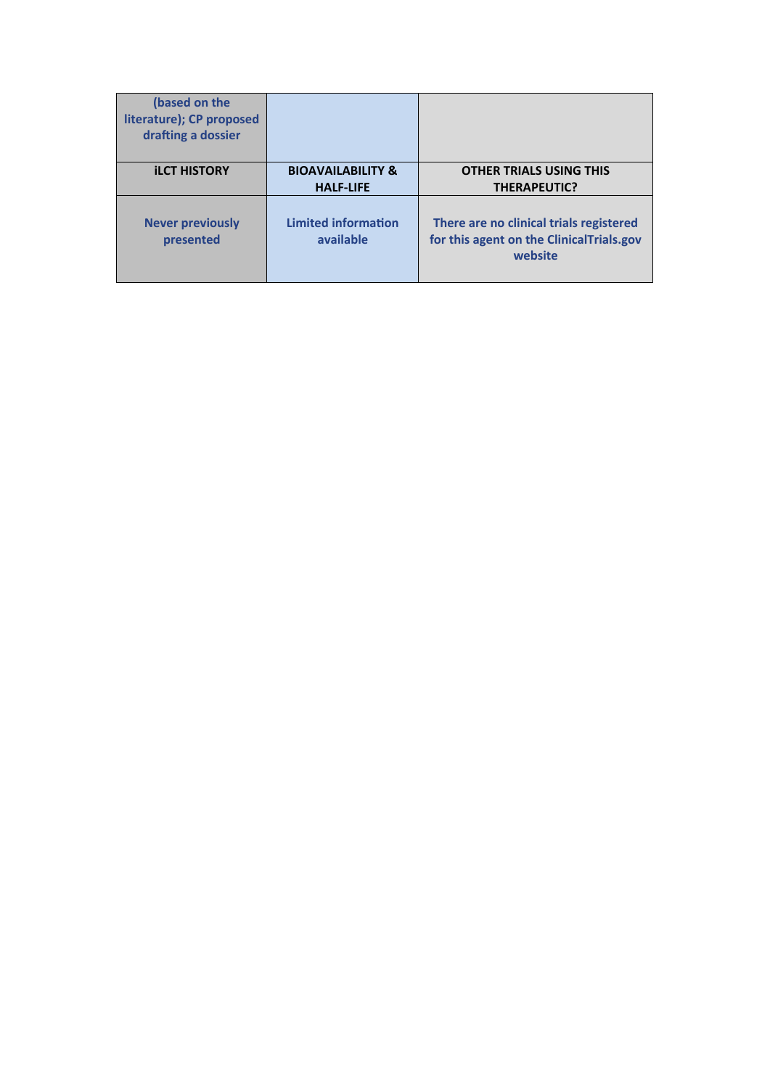| (based on the<br>literature); CP proposed<br>drafting a dossier |                                                  |                                                                                                |
|-----------------------------------------------------------------|--------------------------------------------------|------------------------------------------------------------------------------------------------|
| <b>ILCT HISTORY</b>                                             | <b>BIOAVAILABILITY &amp;</b><br><b>HALF-LIFE</b> | <b>OTHER TRIALS USING THIS</b><br><b>THERAPEUTIC?</b>                                          |
| <b>Never previously</b><br>presented                            | <b>Limited information</b><br>available          | There are no clinical trials registered<br>for this agent on the ClinicalTrials.gov<br>website |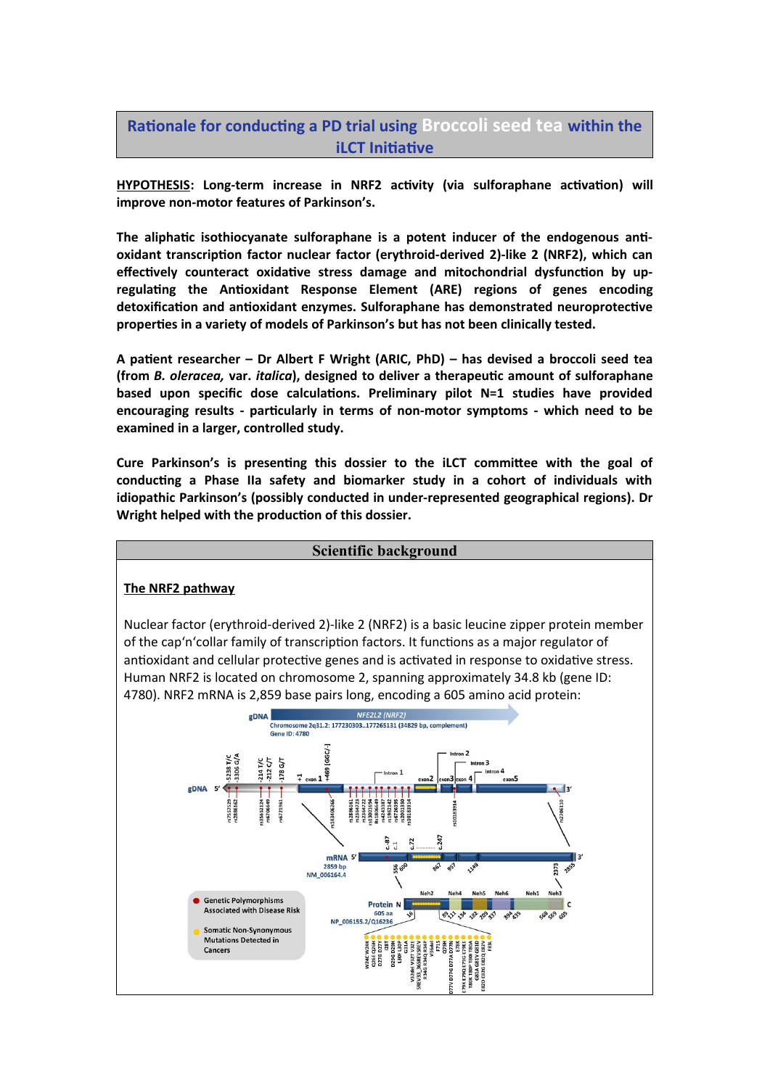## **Rationale for conducting a PD trial using Broccoli seed tea within the iLCT Initiative**

**HYPOTHESIS: Long-term increase in NRF2 activity (via sulforaphane activation) will improve non-motor features of Parkinson's.**

**The aliphatic isothiocyanate sulforaphane is a potent inducer of the endogenous antioxidant transcription factor nuclear factor (erythroid-derived 2)-like 2 (NRF2), which can effectively counteract oxidative stress damage and mitochondrial dysfunction by upregulating the Antioxidant Response Element (ARE) regions of genes encoding detoxification and antioxidant enzymes. Sulforaphane has demonstrated neuroprotective properties in a variety of models of Parkinson's but has not been clinically tested.**

**A patient researcher – Dr Albert F Wright (ARIC, PhD) – has devised a broccoli seed tea (from** *B. oleracea,* **var.** *italica***), designed to deliver a therapeutic amount of sulforaphane based upon specific dose calculations. Preliminary pilot N=1 studies have provided encouraging results - particularly in terms of non-motor symptoms - which need to be examined in a larger, controlled study.**

**Cure Parkinson's is presenting this dossier to the iLCT committee with the goal of conducting a Phase IIa safety and biomarker study in a cohort of individuals with idiopathic Parkinson's (possibly conducted in under-represented geographical regions). Dr Wright helped with the production of this dossier.**

#### **Scientific background The NRF2 pathway** Nuclear factor (erythroid-derived 2)-like 2 (NRF2) is a basic leucine zipper protein member of the cap'n'collar family of transcription factors. It functions as a major regulator of antioxidant and cellular protective genes and is activated in response to oxidative stress. Human NRF2 is located on chromosome 2, spanning approximately 34.8 kb (gene ID: 4780). NRF2 mRNA is 2,859 base pairs long, encoding a 605 amino acid protein:NFE2L2 (NRF2) gDNA Chromosome 2q31.2: 177230303..177265131 (34829 bp, comple **Gene ID: 4780** IGGC/- $25$ 214 T/C<br>212 C/T 178 G/T 5238<br>3306  $7 - 19$  $\overline{1}$  $P<sub>P</sub> **N A S**'$  $12'$ "s35652124 rs7557529<br>rs2886162 \$6721961  $3 - 87$  $-72$ mRNA<sub>5</sub> 2859 bp<br>NM\_006164.4 **1373** చి ఉ 14 3 Neh6 Neh1 Neh3 Neh<sub>2</sub> Neh4 Neh5 **Genetic Polymorphisms Protein N Associated with Disease Risk**  $8.3^{3}$ ,  $3^{8}$ ,  $8^{2}$ ,  $0^{9}$ ,  $3^{1}$ 50 69 50 ❖ 294,35 NP 006155.2/Q16236 **Somatic Non-Synonymous Mutations Detected in**  $\begin{tabular}{c} {\bf NRSB PSSB SRSB} \\ {\bf NRSB PSSB SRSB} \\ {\bf NRSB SRSB} \\ {\bf NRSB SRSB} \\ {\bf NRSB SRSB} \\ {\bf NRSB SRSB} \\ {\bf NRSB SRSB} \\ {\bf NRSB SRSB} \\ {\bf NRSB SRSB} \\ {\bf NRSB SRSB} \\ {\bf NRSB SRSB} \\ {\bf NRSB SRSB} \\ {\bf NRSB SRSB} \\ {\bf NRSB SRSB} \\ {\bf NRSB SRSB} \\ {\bf NRSB SRSB} \\ {\bf NRSB SRSB} \\ {\bf NRSB SRSB} \\ {\bf NRSB SRSB} \\ {\bf NRSB SRSB} \\ {\bf NRSB S$ **Cancers**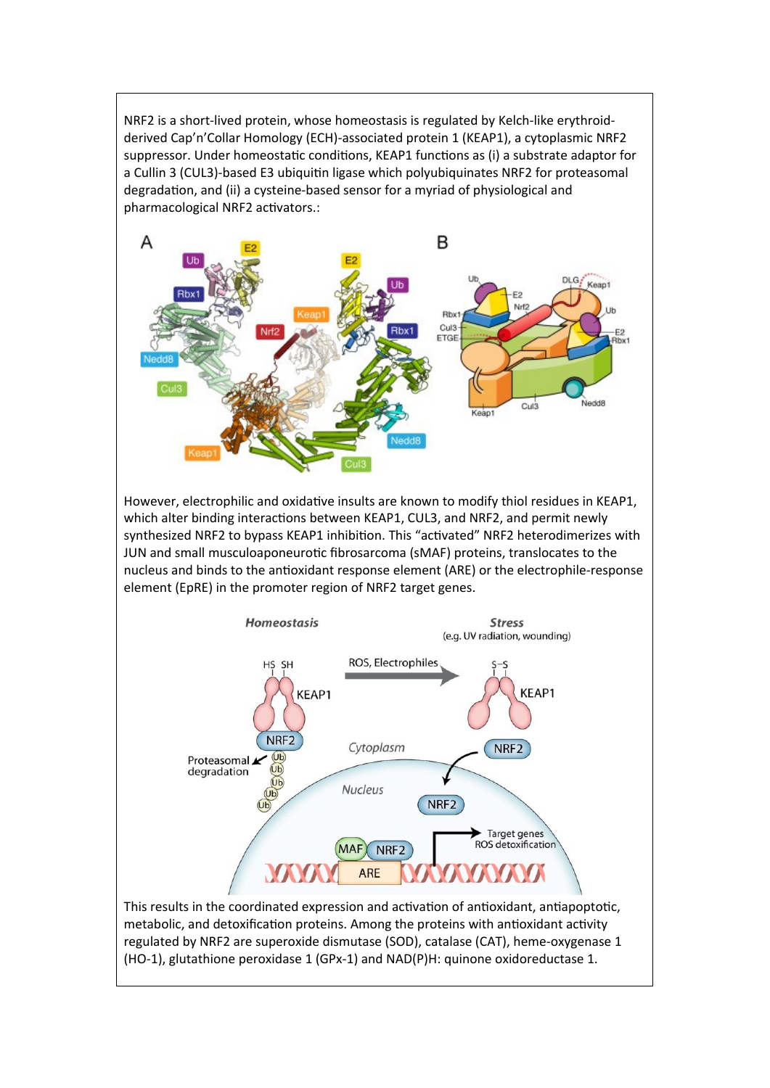NRF2 is a short-lived protein, whose homeostasis is regulated by Kelch-like erythroidderived Cap'n'Collar Homology (ECH)-associated protein 1 (KEAP1), a cytoplasmic NRF2 suppressor. Under homeostatic conditions, KEAP1 functions as (i) a substrate adaptor for a Cullin 3 (CUL3)-based E3 ubiquitin ligase which polyubiquinates NRF2 for proteasomal degradation, and (ii) a cysteine-based sensor for a myriad of physiological and pharmacological NRF2 activators.:



However, electrophilic and oxidative insults are known to modify thiol residues in KEAP1, which alter binding interactions between KEAP1, CUL3, and NRF2, and permit newly synthesized NRF2 to bypass KEAP1 inhibition. This "activated" NRF2 heterodimerizes with JUN and small musculoaponeurotic fibrosarcoma (sMAF) proteins, translocates to the nucleus and binds to the antioxidant response element (ARE) or the electrophile-response element (EpRE) in the promoter region of NRF2 target genes.



metabolic, and detoxification proteins. Among the proteins with antioxidant activity regulated by NRF2 are superoxide dismutase (SOD), catalase (CAT), heme-oxygenase 1 (HO-1), glutathione peroxidase 1 (GPx-1) and NAD(P)H: quinone oxidoreductase 1.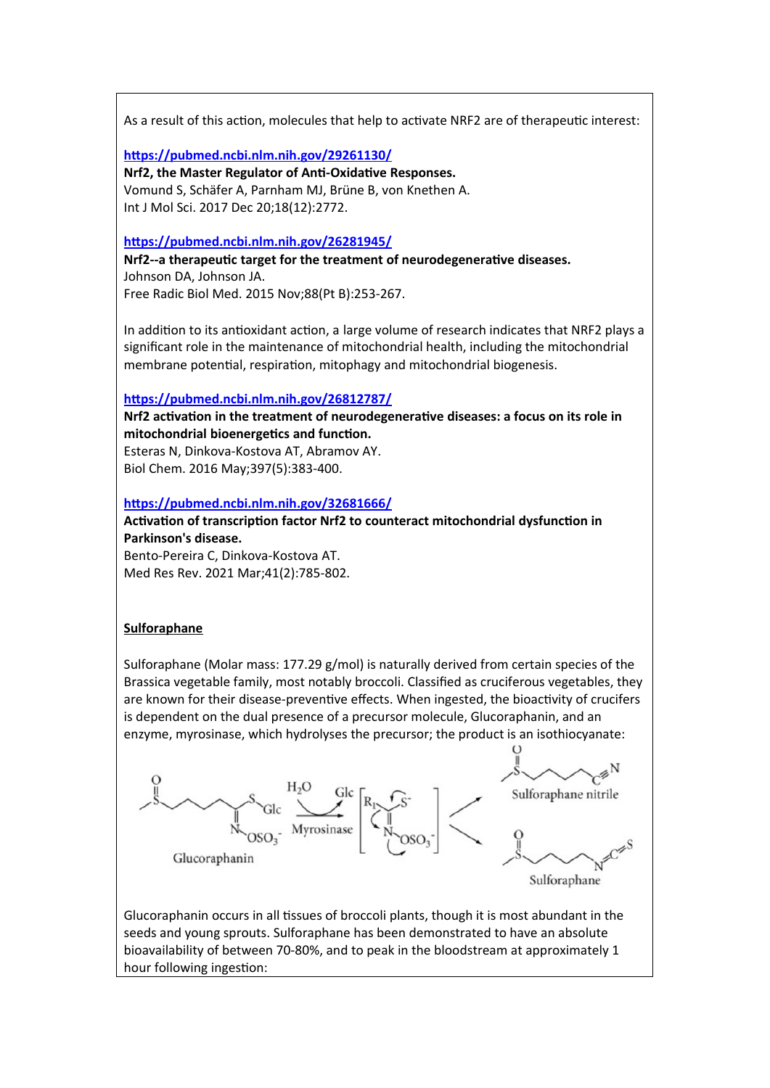As a result of this action, molecules that help to activate NRF2 are of therapeutic interest:

**<https://pubmed.ncbi.nlm.nih.gov/29261130/>**

**Nrf2, the Master Regulator of Anti-Oxidative Responses.** Vomund S, Schäfer A, Parnham MJ, Brüne B, von Knethen A. Int J Mol Sci. 2017 Dec 20;18(12):2772.

## **<https://pubmed.ncbi.nlm.nih.gov/26281945/>**

**Nrf2--a therapeutic target for the treatment of neurodegenerative diseases.** Johnson DA, Johnson JA. Free Radic Biol Med. 2015 Nov;88(Pt B):253-267.

In addition to its antioxidant action, a large volume of research indicates that NRF2 plays a significant role in the maintenance of mitochondrial health, including the mitochondrial membrane potential, respiration, mitophagy and mitochondrial biogenesis.

## **<https://pubmed.ncbi.nlm.nih.gov/26812787/>**

**Nrf2 activation in the treatment of neurodegenerative diseases: a focus on its role in mitochondrial bioenergetics and function.**

Esteras N, Dinkova-Kostova AT, Abramov AY. Biol Chem. 2016 May;397(5):383-400.

## **<https://pubmed.ncbi.nlm.nih.gov/32681666/>**

**Activation of transcription factor Nrf2 to counteract mitochondrial dysfunction in Parkinson's disease.** Bento-Pereira C, Dinkova-Kostova AT. Med Res Rev. 2021 Mar;41(2):785-802.

## **Sulforaphane**

Sulforaphane (Molar mass: 177.29  $g/mol$ ) is naturally derived from certain species of the Brassica vegetable family, most notably broccoli. Classified as cruciferous vegetables, they are known for their disease-preventive effects. When ingested, the bioactivity of crucifers is dependent on the dual presence of a precursor molecule, Glucoraphanin, and an enzyme, myrosinase, which hydrolyses the precursor; the product is an isothiocyanate:



Glucoraphanin occurs in all tissues of broccoli plants, though it is most abundant in the seeds and young sprouts. Sulforaphane has been demonstrated to have an absolute bioavailability of between 70-80%, and to peak in the bloodstream at approximately 1 hour following ingestion: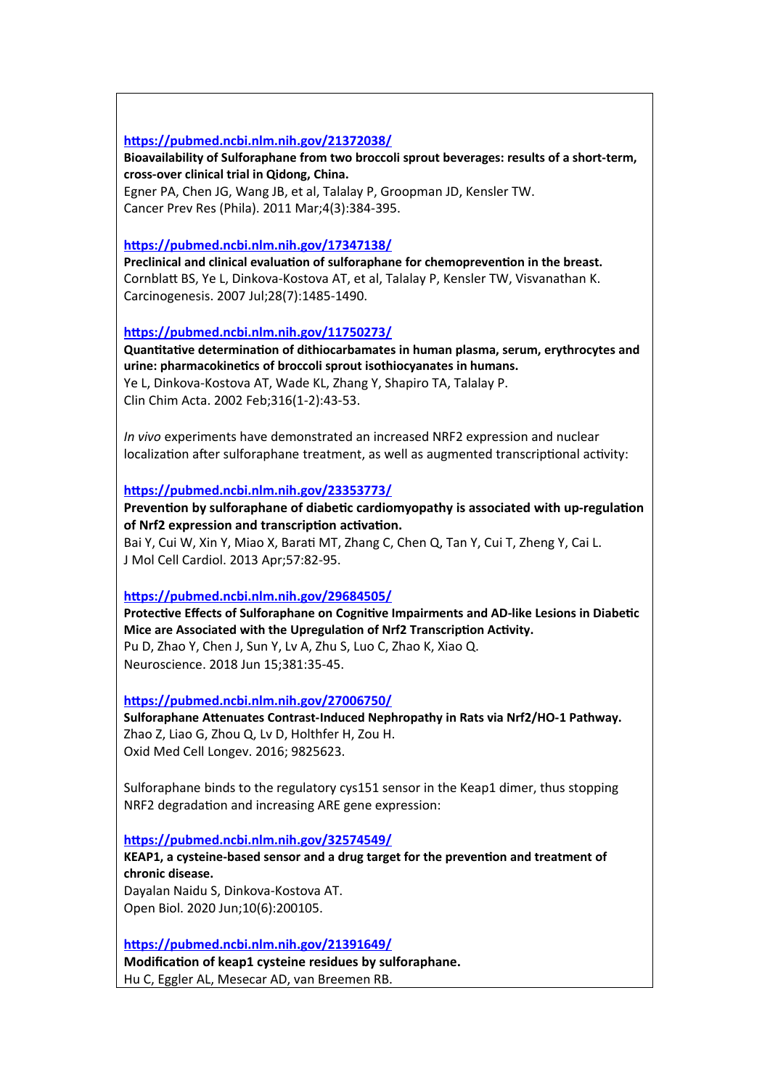## **<https://pubmed.ncbi.nlm.nih.gov/21372038/>**

**Bioavailability of Sulforaphane from two broccoli sprout beverages: results of a short-term, cross-over clinical trial in Qidong, China.**

Egner PA, Chen JG, Wang JB, et al, Talalay P, Groopman JD, Kensler TW. Cancer Prev Res (Phila). 2011 Mar;4(3):384-395.

## **<https://pubmed.ncbi.nlm.nih.gov/17347138/>**

**Preclinical and clinical evaluation of sulforaphane for chemoprevention in the breast.** Cornblatt BS, Ye L, Dinkova-Kostova AT, et al, Talalay P, Kensler TW, Visvanathan K. Carcinogenesis. 2007 Jul;28(7):1485-1490.

**<https://pubmed.ncbi.nlm.nih.gov/11750273/>**

**Quantitative determination of dithiocarbamates in human plasma, serum, erythrocytes and urine: pharmacokinetics of broccoli sprout isothiocyanates in humans.** Ye L, Dinkova-Kostova AT, Wade KL, Zhang Y, Shapiro TA, Talalay P.

Clin Chim Acta. 2002 Feb;316(1-2):43-53.

*In vivo* experiments have demonstrated an increased NRF2 expression and nuclear localization after sulforaphane treatment, as well as augmented transcriptional activity:

## **<https://pubmed.ncbi.nlm.nih.gov/23353773/>**

**Prevention by sulforaphane of diabetic cardiomyopathy is associated with up-regulation of Nrf2 expression and transcription activation.**

Bai Y, Cui W, Xin Y, Miao X, Barati MT, Zhang C, Chen Q, Tan Y, Cui T, Zheng Y, Cai L. J Mol Cell Cardiol. 2013 Apr;57:82-95.

## **<https://pubmed.ncbi.nlm.nih.gov/29684505/>**

**Protective Effects of Sulforaphane on Cognitive Impairments and AD-like Lesions in Diabetic Mice are Associated with the Upregulation of Nrf2 Transcription Activity.** Pu D, Zhao Y, Chen J, Sun Y, Lv A, Zhu S, Luo C, Zhao K, Xiao Q. Neuroscience. 2018 Jun 15;381:35-45.

**<https://pubmed.ncbi.nlm.nih.gov/27006750/>**

**Sulforaphane Attenuates Contrast-Induced Nephropathy in Rats via Nrf2/HO-1 Pathway.** Zhao Z, Liao G, Zhou Q, Lv D, Holthfer H, Zou H. Oxid Med Cell Longev. 2016; 9825623.

Sulforaphane binds to the regulatory cys151 sensor in the Keap1 dimer, thus stopping NRF2 degradation and increasing ARE gene expression:

**<https://pubmed.ncbi.nlm.nih.gov/32574549/>**

**KEAP1, a cysteine-based sensor and a drug target for the prevention and treatment of chronic disease.**

Dayalan Naidu S, Dinkova-Kostova AT. Open Biol. 2020 Jun;10(6):200105.

**<https://pubmed.ncbi.nlm.nih.gov/21391649/>**

**Modification of keap1 cysteine residues by sulforaphane.** Hu C, Eggler AL, Mesecar AD, van Breemen RB.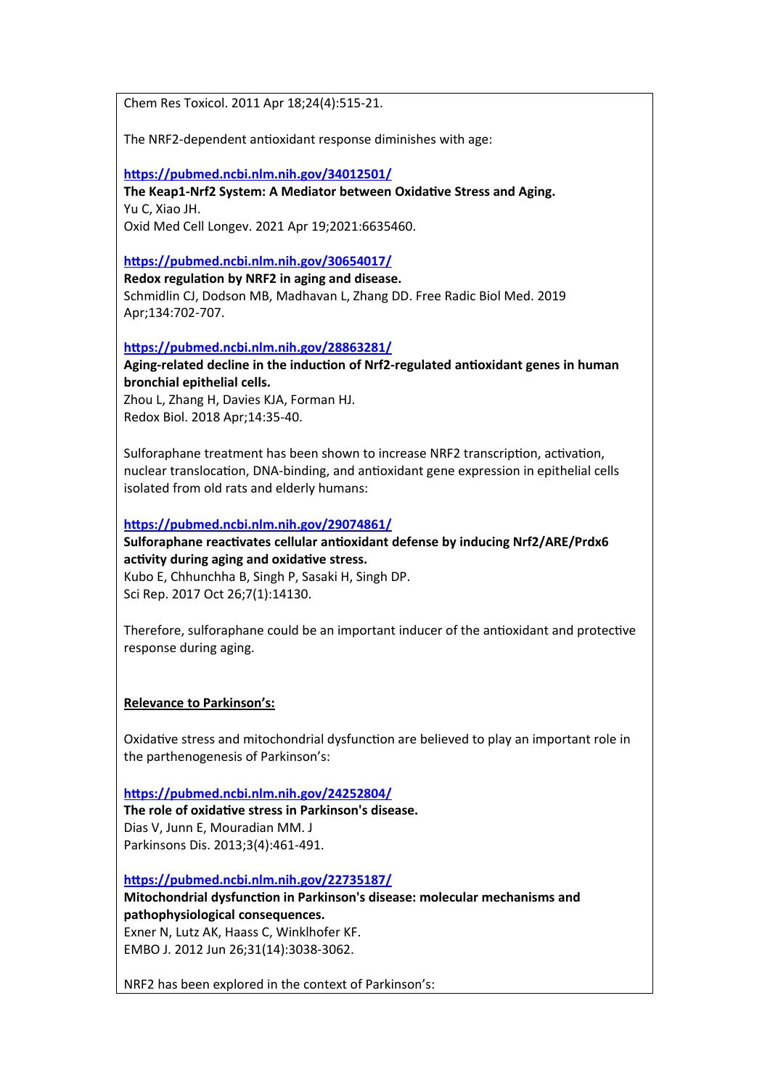Chem Res Toxicol. 2011 Apr 18;24(4):515-21.

The NRF2-dependent antioxidant response diminishes with age:

**<https://pubmed.ncbi.nlm.nih.gov/34012501/>**

**The Keap1-Nrf2 System: A Mediator between Oxidative Stress and Aging.** Yu C, Xiao JH. Oxid Med Cell Longev. 2021 Apr 19;2021:6635460.

## **<https://pubmed.ncbi.nlm.nih.gov/30654017/>**

**Redox regulation by NRF2 in aging and disease.** Schmidlin CJ, Dodson MB, Madhavan L, Zhang DD. Free Radic Biol Med. 2019 Apr;134:702-707.

**<https://pubmed.ncbi.nlm.nih.gov/28863281/>**

## **Aging-related decline in the induction of Nrf2-regulated antioxidant genes in human bronchial epithelial cells.**

Zhou L, Zhang H, Davies KJA, Forman HJ. Redox Biol. 2018 Apr;14:35-40.

Sulforaphane treatment has been shown to increase NRF2 transcription, activation, nuclear translocation, DNA-binding, and antioxidant gene expression in epithelial cells isolated from old rats and elderly humans:

## **<https://pubmed.ncbi.nlm.nih.gov/29074861/>**

**Sulforaphane reactivates cellular antioxidant defense by inducing Nrf2/ARE/Prdx6 activity during aging and oxidative stress.**

Kubo E, Chhunchha B, Singh P, Sasaki H, Singh DP. Sci Rep. 2017 Oct 26;7(1):14130.

Therefore, sulforaphane could be an important inducer of the antioxidant and protective response during aging.

## **Relevance to Parkinson's:**

Oxidative stress and mitochondrial dysfunction are believed to play an important role in the parthenogenesis of Parkinson's:

**<https://pubmed.ncbi.nlm.nih.gov/24252804/>**

**The role of oxidative stress in Parkinson's disease.** Dias V, Junn E, Mouradian MM. J Parkinsons Dis. 2013;3(4):461-491.

**<https://pubmed.ncbi.nlm.nih.gov/22735187/>**

**Mitochondrial dysfunction in Parkinson's disease: molecular mechanisms and pathophysiological consequences.**

Exner N, Lutz AK, Haass C, Winklhofer KF. EMBO J. 2012 Jun 26;31(14):3038-3062.

NRF2 has been explored in the context of Parkinson's: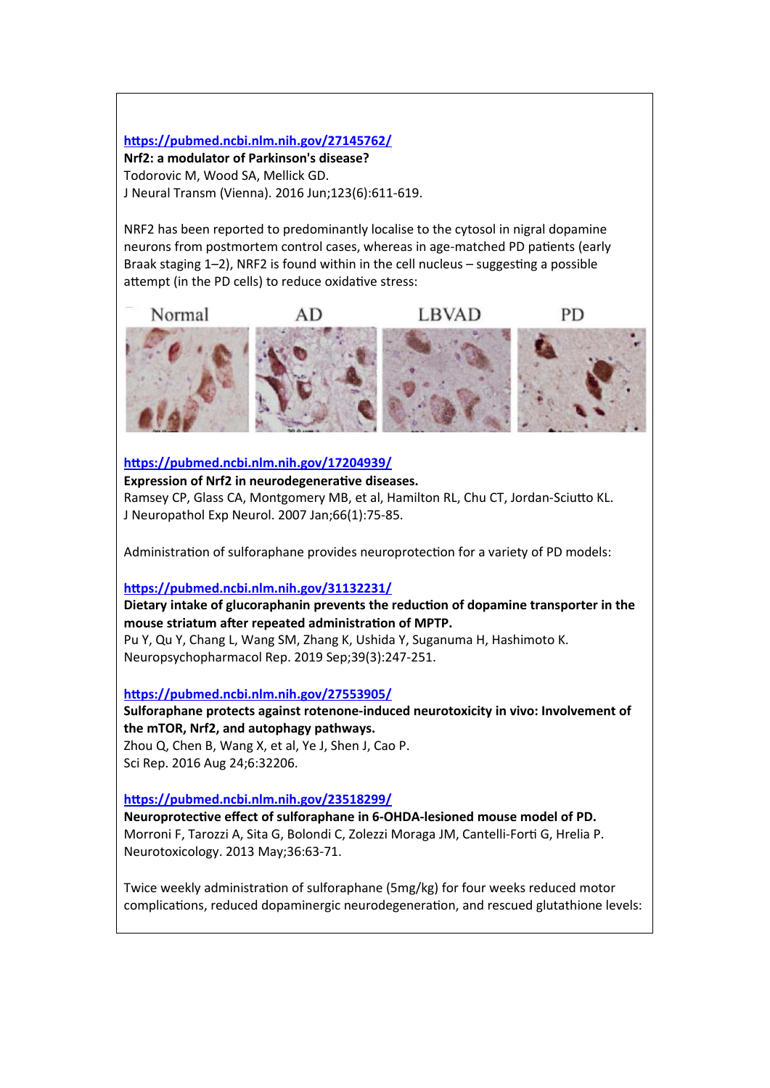## **<https://pubmed.ncbi.nlm.nih.gov/27145762/>**

**Nrf2: a modulator of Parkinson's disease?** Todorovic M, Wood SA, Mellick GD. J Neural Transm (Vienna). 2016 Jun;123(6):611-619.

NRF2 has been reported to predominantly localise to the cytosol in nigral dopamine neurons from postmortem control cases, whereas in age-matched PD patients (early Braak staging 1–2), NRF2 is found within in the cell nucleus – suggesting a possible attempt (in the PD cells) to reduce oxidative stress:



**<https://pubmed.ncbi.nlm.nih.gov/17204939/>**

## **Expression of Nrf2 in neurodegenerative diseases.**

Ramsey CP, Glass CA, Montgomery MB, et al, Hamilton RL, Chu CT, Jordan-Sciutto KL. J Neuropathol Exp Neurol. 2007 Jan;66(1):75-85.

Administration of sulforaphane provides neuroprotection for a variety of PD models:

## **<https://pubmed.ncbi.nlm.nih.gov/31132231/>**

## **Dietary intake of glucoraphanin prevents the reduction of dopamine transporter in the mouse striatum after repeated administration of MPTP.**

Pu Y, Qu Y, Chang L, Wang SM, Zhang K, Ushida Y, Suganuma H, Hashimoto K. Neuropsychopharmacol Rep. 2019 Sep;39(3):247-251.

## **<https://pubmed.ncbi.nlm.nih.gov/27553905/>**

**Sulforaphane protects against rotenone-induced neurotoxicity in vivo: Involvement of the mTOR, Nrf2, and autophagy pathways.**

Zhou Q, Chen B, Wang X, et al, Ye J, Shen J, Cao P. Sci Rep. 2016 Aug 24;6:32206.

## **<https://pubmed.ncbi.nlm.nih.gov/23518299/>**

**Neuroprotective effect of sulforaphane in 6-OHDA-lesioned mouse model of PD.** Morroni F, Tarozzi A, Sita G, Bolondi C, Zolezzi Moraga JM, Cantelli-Forti G, Hrelia P. Neurotoxicology. 2013 May;36:63-71.

Twice weekly administration of sulforaphane (5mg/kg) for four weeks reduced motor complications, reduced dopaminergic neurodegeneration, and rescued glutathione levels: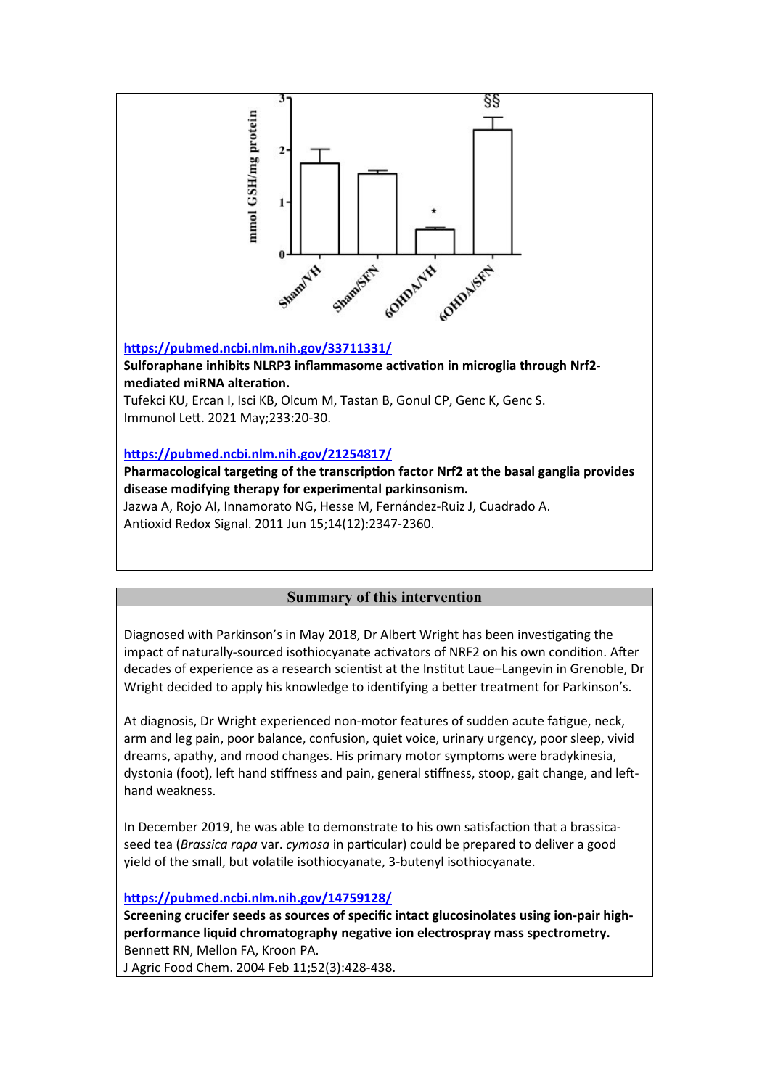

Immunol Lett. 2021 May;233:20-30.

## **<https://pubmed.ncbi.nlm.nih.gov/21254817/>**

**Pharmacological targeting of the transcription factor Nrf2 at the basal ganglia provides disease modifying therapy for experimental parkinsonism.**

Jazwa A, Rojo AI, Innamorato NG, Hesse M, Fernández-Ruiz J, Cuadrado A. Antioxid Redox Signal. 2011 Jun 15;14(12):2347-2360.

## **Summary of this intervention**

Diagnosed with Parkinson's in May 2018, Dr Albert Wright has been investigating the impact of naturally-sourced isothiocyanate activators of NRF2 on his own condition. After decades of experience as a research scientist at the Institut Laue–Langevin in Grenoble, Dr Wright decided to apply his knowledge to identifying a better treatment for Parkinson's.

At diagnosis, Dr Wright experienced non-motor features of sudden acute fatigue, neck, arm and leg pain, poor balance, confusion, quiet voice, urinary urgency, poor sleep, vivid dreams, apathy, and mood changes. His primary motor symptoms were bradykinesia, dystonia (foot), left hand stiffness and pain, general stiffness, stoop, gait change, and lefthand weakness.

In December 2019, he was able to demonstrate to his own satisfaction that a brassicaseed tea (*Brassica rapa* var. *cymosa* in particular) could be prepared to deliver a good yield of the small, but volatile isothiocyanate, 3-butenyl isothiocyanate.

**<https://pubmed.ncbi.nlm.nih.gov/14759128/>**

**Screening crucifer seeds as sources of specific intact glucosinolates using ion-pair highperformance liquid chromatography negative ion electrospray mass spectrometry.** Bennett RN, Mellon FA, Kroon PA.

J Agric Food Chem. 2004 Feb 11;52(3):428-438.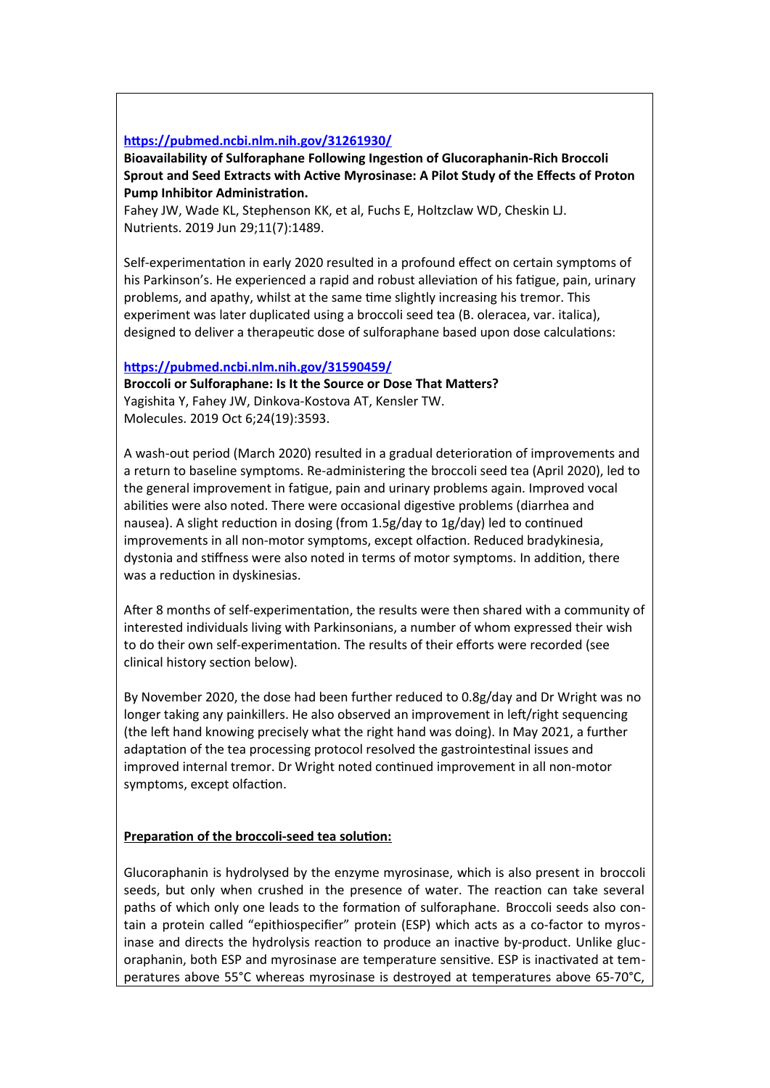## **<https://pubmed.ncbi.nlm.nih.gov/31261930/>**

**Bioavailability of Sulforaphane Following Ingestion of Glucoraphanin-Rich Broccoli Sprout and Seed Extracts with Active Myrosinase: A Pilot Study of the Effects of Proton Pump Inhibitor Administration.**

Fahey JW, Wade KL, Stephenson KK, et al, Fuchs E, Holtzclaw WD, Cheskin LJ. Nutrients. 2019 Jun 29;11(7):1489.

Self-experimentation in early 2020 resulted in a profound effect on certain symptoms of his Parkinson's. He experienced a rapid and robust alleviation of his fatigue, pain, urinary problems, and apathy, whilst at the same time slightly increasing his tremor. This experiment was later duplicated using a broccoli seed tea (B. oleracea, var. italica), designed to deliver a therapeutic dose of sulforaphane based upon dose calculations:

## **<https://pubmed.ncbi.nlm.nih.gov/31590459/>**

**Broccoli or Sulforaphane: Is It the Source or Dose That Matters?** Yagishita Y, Fahey JW, Dinkova-Kostova AT, Kensler TW. Molecules. 2019 Oct 6;24(19):3593.

A wash-out period (March 2020) resulted in a gradual deterioration of improvements and a return to baseline symptoms. Re-administering the broccoli seed tea (April 2020), led to the general improvement in fatigue, pain and urinary problems again. Improved vocal abilities were also noted. There were occasional digestive problems (diarrhea and nausea). A slight reduction in dosing (from 1.5g/day to 1g/day) led to continued improvements in all non-motor symptoms, except olfaction. Reduced bradykinesia, dystonia and stiffness were also noted in terms of motor symptoms. In addition, there was a reduction in dyskinesias.

After 8 months of self-experimentation, the results were then shared with a community of interested individuals living with Parkinsonians, a number of whom expressed their wish to do their own self-experimentation. The results of their efforts were recorded (see clinical history section below).

By November 2020, the dose had been further reduced to 0.8g/day and Dr Wright was no longer taking any painkillers. He also observed an improvement in left/right sequencing (the left hand knowing precisely what the right hand was doing). In May 2021, a further adaptation of the tea processing protocol resolved the gastrointestinal issues and improved internal tremor. Dr Wright noted continued improvement in all non-motor symptoms, except olfaction.

## **Preparation of the broccoli-seed tea solution:**

Glucoraphanin is hydrolysed by the enzyme myrosinase, which is also present in broccoli seeds, but only when crushed in the presence of water. The reaction can take several paths of which only one leads to the formation of sulforaphane. Broccoli seeds also contain a protein called "epithiospecifier" protein (ESP) which acts as a co-factor to myrosinase and directs the hydrolysis reaction to produce an inactive by-product. Unlike glucoraphanin, both ESP and myrosinase are temperature sensitive. ESP is inactivated at temperatures above 55°C whereas myrosinase is destroyed at temperatures above 65-70°C,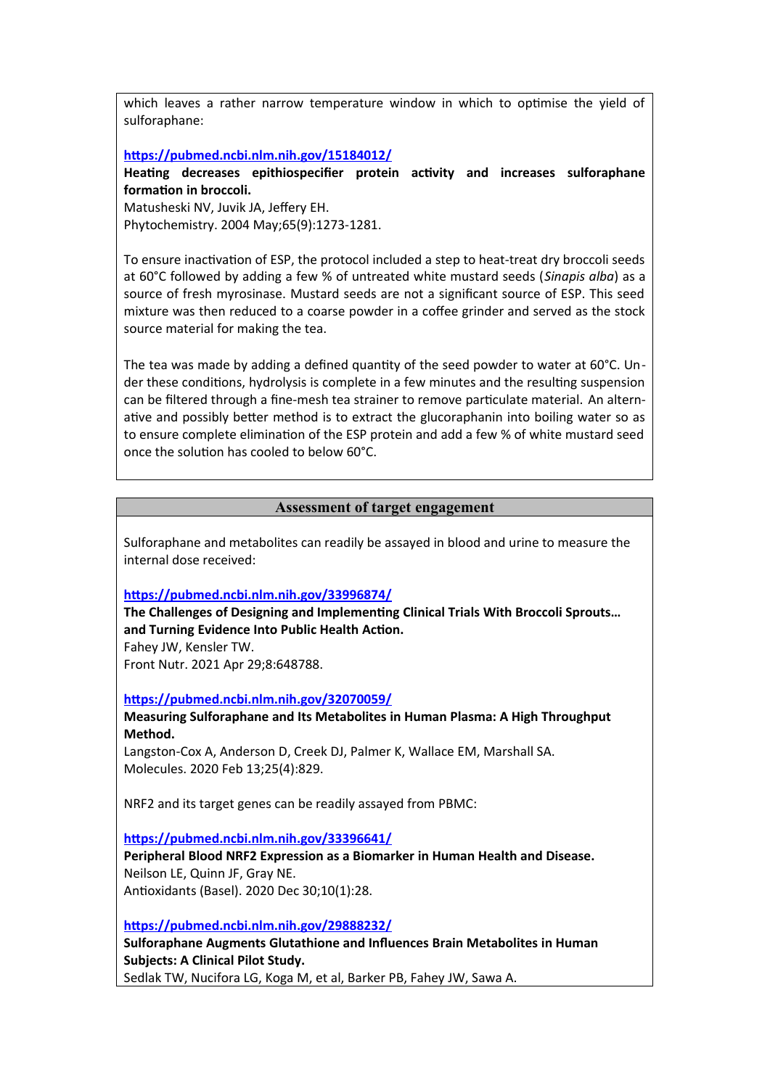which leaves a rather narrow temperature window in which to optimise the yield of sulforaphane:

## **<https://pubmed.ncbi.nlm.nih.gov/15184012/>**

**Heating decreases epithiospecifier protein activity and increases sulforaphane formation in broccoli.**

Matusheski NV, Juvik JA, Jeffery EH. Phytochemistry. 2004 May;65(9):1273-1281.

To ensure inactivation of ESP, the protocol included a step to heat-treat dry broccoli seeds at 60°C followed by adding a few % of untreated white mustard seeds (*Sinapis alba*) as a source of fresh myrosinase. Mustard seeds are not a significant source of ESP. This seed mixture was then reduced to a coarse powder in a coffee grinder and served as the stock source material for making the tea.

The tea was made by adding a defined quantity of the seed powder to water at 60°C. Under these conditions, hydrolysis is complete in a few minutes and the resulting suspension can be filtered through a fine-mesh tea strainer to remove particulate material. An alternative and possibly better method is to extract the glucoraphanin into boiling water so as to ensure complete elimination of the ESP protein and add a few % of white mustard seed once the solution has cooled to below 60°C.

## **Assessment of target engagement**

Sulforaphane and metabolites can readily be assayed in blood and urine to measure the internal dose received:

## **<https://pubmed.ncbi.nlm.nih.gov/33996874/>**

**The Challenges of Designing and Implementing Clinical Trials With Broccoli Sprouts… and Turning Evidence Into Public Health Action.** Fahey JW, Kensler TW.

Front Nutr. 2021 Apr 29;8:648788.

**<https://pubmed.ncbi.nlm.nih.gov/32070059/>**

## **Measuring Sulforaphane and Its Metabolites in Human Plasma: A High Throughput Method.**

Langston-Cox A, Anderson D, Creek DJ, Palmer K, Wallace EM, Marshall SA. Molecules. 2020 Feb 13;25(4):829.

NRF2 and its target genes can be readily assayed from PBMC:

**<https://pubmed.ncbi.nlm.nih.gov/33396641/>**

**Peripheral Blood NRF2 Expression as a Biomarker in Human Health and Disease.** Neilson LE, Quinn JF, Gray NE. Antioxidants (Basel). 2020 Dec 30;10(1):28.

**<https://pubmed.ncbi.nlm.nih.gov/29888232/>**

**Sulforaphane Augments Glutathione and Influences Brain Metabolites in Human Subjects: A Clinical Pilot Study.** Sedlak TW, Nucifora LG, Koga M, et al, Barker PB, Fahey JW, Sawa A.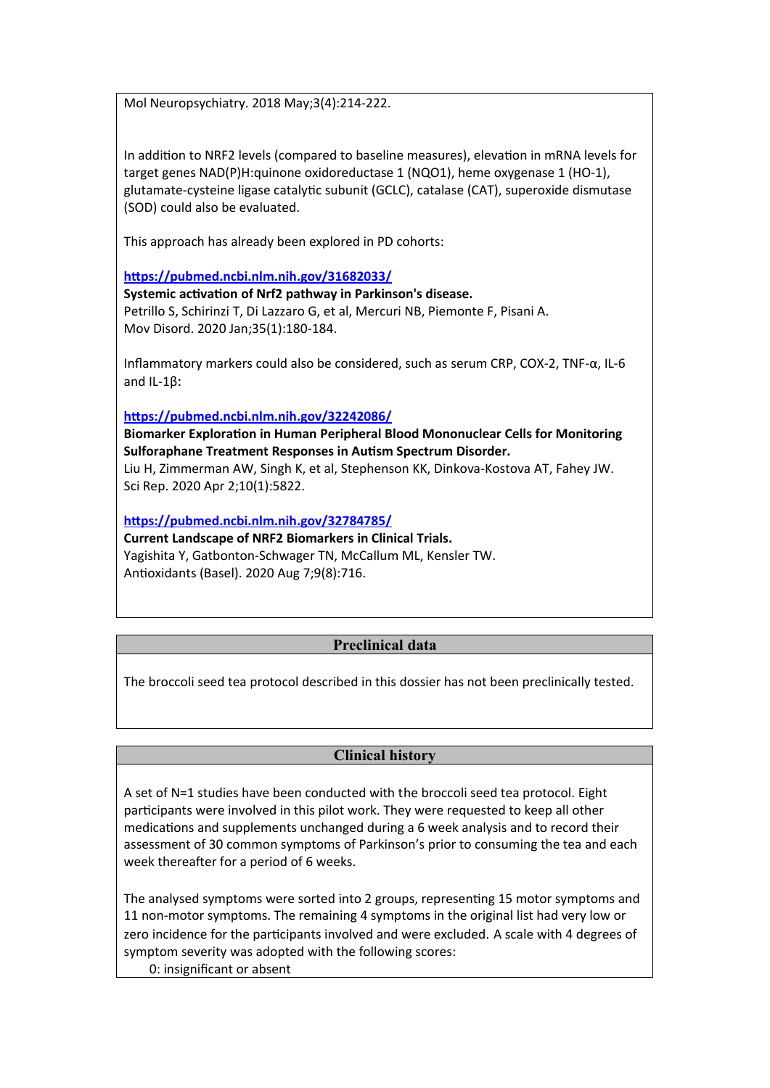Mol Neuropsychiatry. 2018 May;3(4):214-222.

In addition to NRF2 levels (compared to baseline measures), elevation in mRNA levels for target genes NAD(P)H:quinone oxidoreductase 1 (NQO1), heme oxygenase 1 (HO-1), glutamate-cysteine ligase catalytic subunit (GCLC), catalase (CAT), superoxide dismutase (SOD) could also be evaluated.

This approach has already been explored in PD cohorts:

**<https://pubmed.ncbi.nlm.nih.gov/31682033/>**

**Systemic activation of Nrf2 pathway in Parkinson's disease.** Petrillo S, Schirinzi T, Di Lazzaro G, et al, Mercuri NB, Piemonte F, Pisani A. Mov Disord. 2020 Jan;35(1):180-184.

Inflammatory markers could also be considered, such as serum CRP, COX-2, TNF-α, IL-6 and IL-1β:

**<https://pubmed.ncbi.nlm.nih.gov/32242086/>**

**Biomarker Exploration in Human Peripheral Blood Mononuclear Cells for Monitoring Sulforaphane Treatment Responses in Autism Spectrum Disorder.** Liu H, Zimmerman AW, Singh K, et al, Stephenson KK, Dinkova-Kostova AT, Fahey JW. Sci Rep. 2020 Apr 2;10(1):5822.

**<https://pubmed.ncbi.nlm.nih.gov/32784785/>**

**Current Landscape of NRF2 Biomarkers in Clinical Trials.** Yagishita Y, Gatbonton-Schwager TN, McCallum ML, Kensler TW. Antioxidants (Basel). 2020 Aug 7;9(8):716.

## **Preclinical data**

The broccoli seed tea protocol described in this dossier has not been preclinically tested.

## **Clinical history**

A set of N=1 studies have been conducted with the broccoli seed tea protocol. Eight participants were involved in this pilot work. They were requested to keep all other medications and supplements unchanged during a 6 week analysis and to record their assessment of 30 common symptoms of Parkinson's prior to consuming the tea and each week thereafter for a period of 6 weeks.

The analysed symptoms were sorted into 2 groups, representing 15 motor symptoms and 11 non-motor symptoms. The remaining 4 symptoms in the original list had very low or zero incidence for the participants involved and were excluded. A scale with 4 degrees of symptom severity was adopted with the following scores: 0: insignificant or absent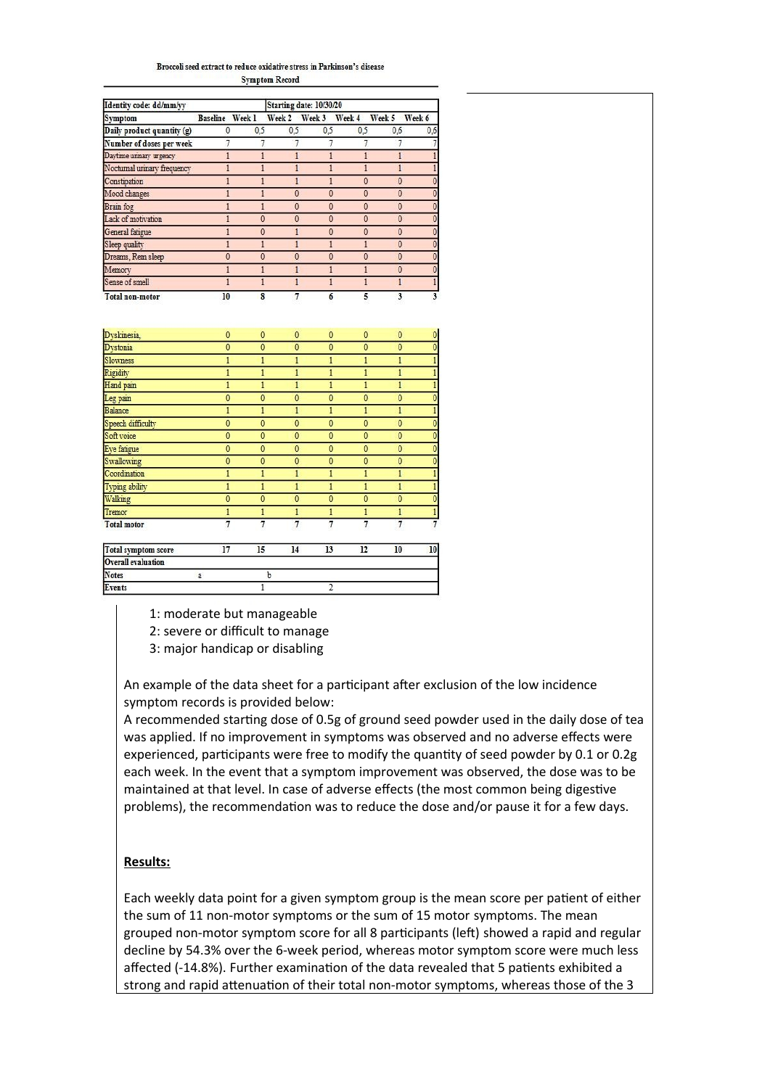#### Broccoli seed extract to reduce oxidative stress in Parkinson's disease **Symptom Record**

| Identity code: dd/mm/yy     | Starting date: 10/30/20 |     |          |              |              |        |        |  |
|-----------------------------|-------------------------|-----|----------|--------------|--------------|--------|--------|--|
| <b>Symptom</b>              | Baseline Week 1         |     | Week 2   | Week 3       | Week 4       | Week 5 | Week 6 |  |
| Daily product quantity (g)  | 0                       | 0.5 | 0.5      | 0.5          | 0.5          | 0.6    | 0,6    |  |
| Number of doses per week    |                         |     |          |              |              |        |        |  |
| Daytime unnary urgency      |                         |     |          |              |              |        |        |  |
| Nocturnal urinary frequency |                         |     |          |              |              |        |        |  |
| Constipation                |                         |     |          |              | $\mathbf{0}$ | ٥      |        |  |
| Mood changes                |                         |     | $\theta$ | $\bf{0}$     | 0            |        |        |  |
| <b>Brain</b> fog            |                         |     | 0        | 0            | 0            | 0      |        |  |
| Lack of motivation          |                         |     | $\bf{0}$ | $\bf{0}$     | $\Omega$     | ٥      |        |  |
| General fatigue             |                         |     |          | 0            | 0            |        |        |  |
| Sleep quality               |                         |     |          |              |              | Ō      |        |  |
| Dreams, Rem sleep           | 0                       |     | 0        | $\mathbf{0}$ |              |        |        |  |
| Memory                      |                         |     |          |              |              | n      |        |  |
| Sense of smell              |                         |     |          |              |              |        |        |  |
| <b>Total non-motor</b>      | 10                      |     |          | 6            | 5            | ٦      |        |  |

| Dyskinesia.                | $\mathbf{0}$   | $\mathbf 0$    | $\mathbf{0}$ | $\mathbf 0$    | 0              | $\mathbf{0}$   | $\bf{0}$       |
|----------------------------|----------------|----------------|--------------|----------------|----------------|----------------|----------------|
| Dystonia                   | $\mathbf{0}$   | $\mathbf{0}$   | $\bf{0}$     | $\mathbf{0}$   | $\mathbf{0}$   | $\mathbf{0}$   | $\overline{0}$ |
| <b>Slowness</b>            | 1              | 1              | 1            |                |                | 1              | $\mathbf{1}$   |
| Rigidity                   | 1              | 1              | 1            |                | 1              | $\mathbf{1}$   | $\mathbf{1}$   |
| Hand pain                  | 1              | 1              | 1            | 1              | 1              | 1              | 1              |
| Leg pain                   | $\overline{0}$ | $\mathbf{0}$   | $\mathbf{0}$ | $\overline{0}$ | $\mathbf{0}$   | $\mathbf{0}$   | $\bf{0}$       |
| Balance                    |                |                |              |                |                | 1              | $\mathbf{1}$   |
| Speech difficulty          | 0              | $\bf{0}$       | $\mathbf{0}$ | $\bf{0}$       | $\bf{0}$       | $\mathbf{0}$   | $\bf{0}$       |
| Soft voice                 | $\overline{0}$ | $\overline{0}$ | $\mathbf{0}$ | $\overline{0}$ | $\bf{0}$       | $\overline{0}$ | $\bf{0}$       |
| Eye fatigue                | $\mathbf 0$    | $\mathbf{0}$   | $\mathbf{0}$ | $\bf{0}$       | $\mathbf{0}$   | $\mathbf{0}$   | $\bf{0}$       |
| Swallowing                 | $\mathbf 0$    | $\mathbf 0$    | $\mathbf{0}$ | 0              | $\bf{0}$       | $\mathbf{0}$   | $\overline{0}$ |
| Coordination               |                |                |              |                |                | 1              | $\mathbf{1}$   |
| Typing ability             | 1              | 1              |              |                |                | 1              | $\mathbf{1}$   |
| Walking                    | $\overline{0}$ | $\overline{0}$ | $\mathbf{0}$ | $\bf{0}$       | $\bf{0}$       | $\overline{0}$ | $\overline{0}$ |
| Tremor                     | 1              | 1              | 1            |                | 1              | $\mathbf{1}$   | $\mathbf{1}$   |
| <b>Total motor</b>         | $\overline{7}$ | $\overline{7}$ | 7            | 7              | $\overline{7}$ | $\overline{1}$ | $\overline{7}$ |
| <b>Total symptom score</b> | 17             | 15             | 14           | 13             | 12             | 10             | 10             |
| <b>Overall evaluation</b>  |                |                |              |                |                |                |                |
| <b>Notes</b>               | a              | b              |              |                |                |                |                |

1: moderate but manageable

2: severe or difficult to manage

3: major handicap or disabling

An example of the data sheet for a participant after exclusion of the low incidence symptom records is provided below:

A recommended starting dose of 0.5g of ground seed powder used in the daily dose of tea was applied. If no improvement in symptoms was observed and no adverse effects were experienced, participants were free to modify the quantity of seed powder by 0.1 or 0.2g each week. In the event that a symptom improvement was observed, the dose was to be maintained at that level. In case of adverse effects (the most common being digestive problems), the recommendation was to reduce the dose and/or pause it for a few days.

## **Results:**

Events

Each weekly data point for a given symptom group is the mean score per patient of either the sum of 11 non-motor symptoms or the sum of 15 motor symptoms. The mean grouped non-motor symptom score for all 8 participants (left) showed a rapid and regular decline by 54.3% over the 6-week period, whereas motor symptom score were much less affected (-14.8%). Further examination of the data revealed that 5 patients exhibited a strong and rapid attenuation of their total non-motor symptoms, whereas those of the 3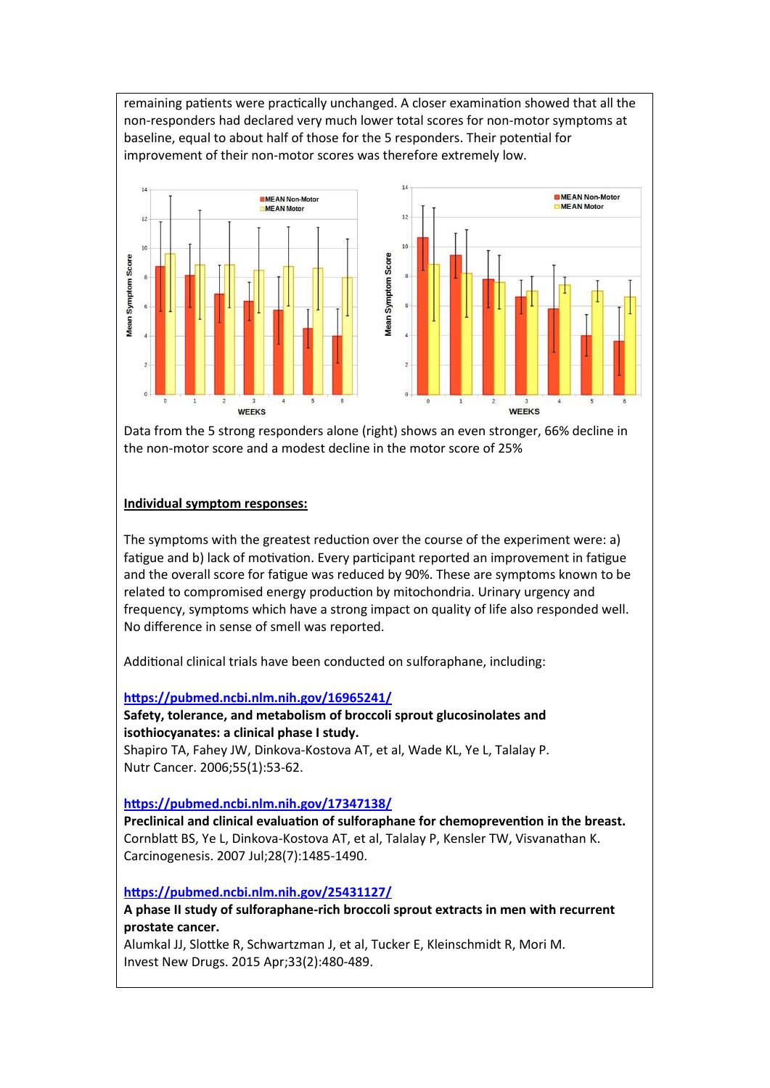remaining patients were practically unchanged. A closer examination showed that all the non-responders had declared very much lower total scores for non-motor symptoms at baseline, equal to about half of those for the 5 responders. Their potential for improvement of their non-motor scores was therefore extremely low.



Data from the 5 strong responders alone (right) shows an even stronger, 66% decline in the non-motor score and a modest decline in the motor score of 25%

## **Individual symptom responses:**

The symptoms with the greatest reduction over the course of the experiment were: a) fatigue and b) lack of motivation. Every participant reported an improvement in fatigue and the overall score for fatigue was reduced by 90%. These are symptoms known to be related to compromised energy production by mitochondria. Urinary urgency and frequency, symptoms which have a strong impact on quality of life also responded well. No difference in sense of smell was reported.

Additional clinical trials have been conducted on sulforaphane, including:

## **<https://pubmed.ncbi.nlm.nih.gov/16965241/>**

## **Safety, tolerance, and metabolism of broccoli sprout glucosinolates and isothiocyanates: a clinical phase I study.**

Shapiro TA, Fahey JW, Dinkova-Kostova AT, et al, Wade KL, Ye L, Talalay P. Nutr Cancer. 2006;55(1):53-62.

## **<https://pubmed.ncbi.nlm.nih.gov/17347138/>**

**Preclinical and clinical evaluation of sulforaphane for chemoprevention in the breast.** Cornblatt BS, Ye L, Dinkova-Kostova AT, et al, Talalay P, Kensler TW, Visvanathan K. Carcinogenesis. 2007 Jul;28(7):1485-1490.

**<https://pubmed.ncbi.nlm.nih.gov/25431127/>**

**A phase II study of sulforaphane-rich broccoli sprout extracts in men with recurrent prostate cancer.**

Alumkal JJ, Slottke R, Schwartzman J, et al, Tucker E, Kleinschmidt R, Mori M. Invest New Drugs. 2015 Apr;33(2):480-489.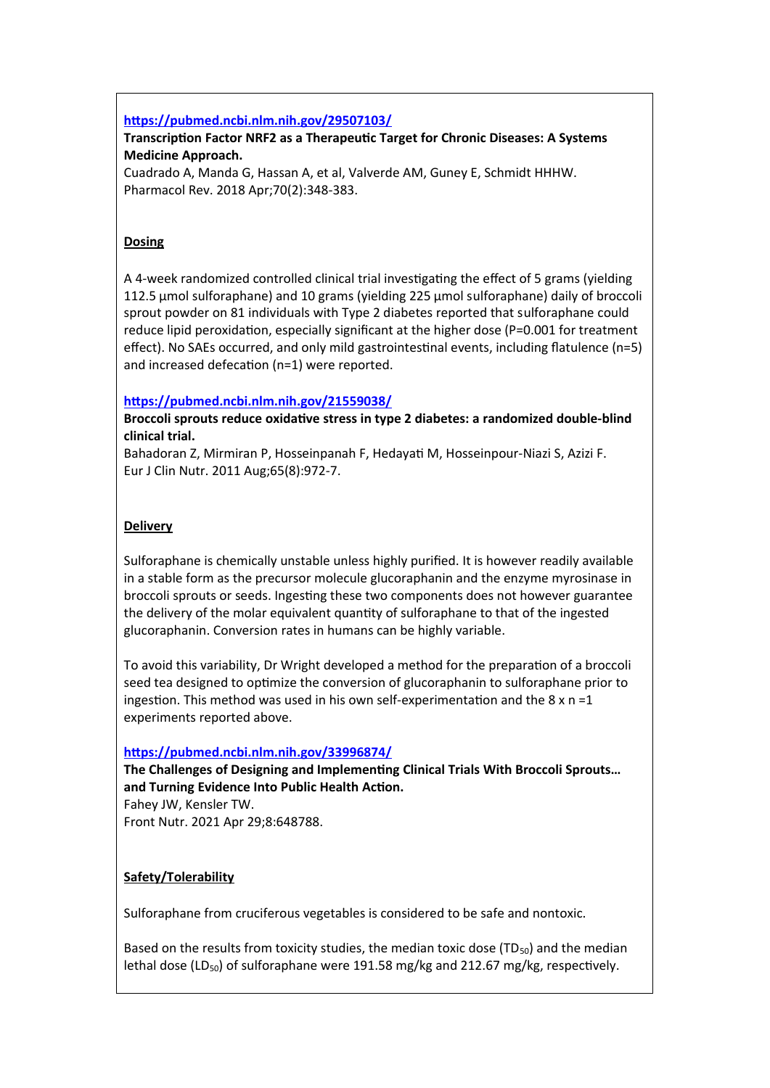## **<https://pubmed.ncbi.nlm.nih.gov/29507103/>**

## **Transcription Factor NRF2 as a Therapeutic Target for Chronic Diseases: A Systems Medicine Approach.**

Cuadrado A, Manda G, Hassan A, et al, Valverde AM, Guney E, Schmidt HHHW. Pharmacol Rev. 2018 Apr;70(2):348-383.

## **Dosing**

A 4-week randomized controlled clinical trial investigating the effect of 5 grams (yielding 112.5 μmol sulforaphane) and 10 grams (yielding 225 μmol sulforaphane) daily of broccoli sprout powder on 81 individuals with Type 2 diabetes reported that sulforaphane could reduce lipid peroxidation, especially significant at the higher dose (P=0.001 for treatment effect). No SAEs occurred, and only mild gastrointestinal events, including flatulence (n=5) and increased defecation (n=1) were reported.

## **<https://pubmed.ncbi.nlm.nih.gov/21559038/>**

**Broccoli sprouts reduce oxidative stress in type 2 diabetes: a randomized double-blind clinical trial.**

Bahadoran Z, Mirmiran P, Hosseinpanah F, Hedayati M, Hosseinpour-Niazi S, Azizi F. Eur J Clin Nutr. 2011 Aug;65(8):972-7.

## **Delivery**

Sulforaphane is chemically unstable unless highly purified. It is however readily available in a stable form as the precursor molecule glucoraphanin and the enzyme myrosinase in broccoli sprouts or seeds. Ingesting these two components does not however guarantee the delivery of the molar equivalent quantity of sulforaphane to that of the ingested glucoraphanin. Conversion rates in humans can be highly variable.

To avoid this variability, Dr Wright developed a method for the preparation of a broccoli seed tea designed to optimize the conversion of glucoraphanin to sulforaphane prior to ingestion. This method was used in his own self-experimentation and the  $8 \times n = 1$ experiments reported above.

## **<https://pubmed.ncbi.nlm.nih.gov/33996874/>**

**The Challenges of Designing and Implementing Clinical Trials With Broccoli Sprouts… and Turning Evidence Into Public Health Action.** Fahey JW, Kensler TW.

Front Nutr. 2021 Apr 29;8:648788.

## **Safety/Tolerability**

Sulforaphane from cruciferous vegetables is considered to be safe and nontoxic.

Based on the results from toxicity studies, the median toxic dose  $(TD_{50})$  and the median lethal dose (LD<sub>50</sub>) of sulforaphane were 191.58 mg/kg and 212.67 mg/kg, respectively.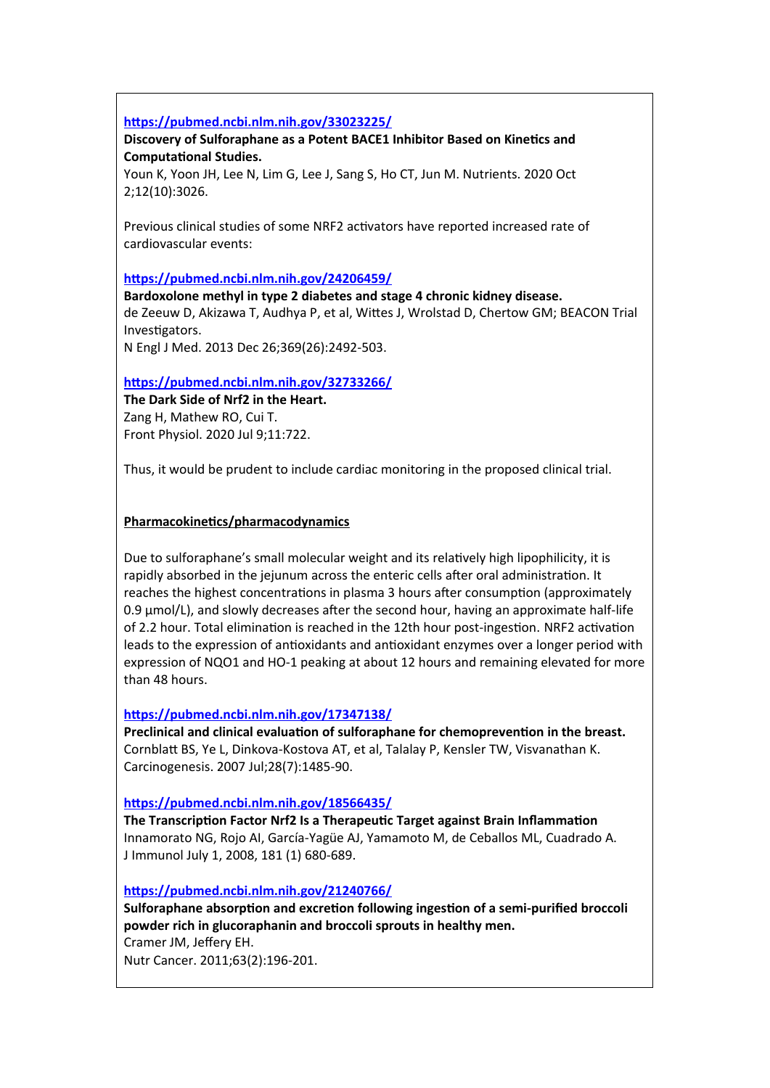## **<https://pubmed.ncbi.nlm.nih.gov/33023225/>**

**Discovery of Sulforaphane as a Potent BACE1 Inhibitor Based on Kinetics and Computational Studies.**

Youn K, Yoon JH, Lee N, Lim G, Lee J, Sang S, Ho CT, Jun M. Nutrients. 2020 Oct 2;12(10):3026.

Previous clinical studies of some NRF2 activators have reported increased rate of cardiovascular events:

## **<https://pubmed.ncbi.nlm.nih.gov/24206459/>**

**Bardoxolone methyl in type 2 diabetes and stage 4 chronic kidney disease.**

de Zeeuw D, Akizawa T, Audhya P, et al, Wittes J, Wrolstad D, Chertow GM; BEACON Trial Investigators.

N Engl J Med. 2013 Dec 26;369(26):2492-503.

## **<https://pubmed.ncbi.nlm.nih.gov/32733266/>**

**The Dark Side of Nrf2 in the Heart.** Zang H, Mathew RO, Cui T. Front Physiol. 2020 Jul 9;11:722.

Thus, it would be prudent to include cardiac monitoring in the proposed clinical trial.

## **Pharmacokinetics/pharmacodynamics**

Due to sulforaphane's small molecular weight and its relatively high lipophilicity, it is rapidly absorbed in the jejunum across the enteric cells after oral administration. It reaches the highest concentrations in plasma 3 hours after consumption (approximately 0.9 μmol/L), and slowly decreases after the second hour, having an approximate half-life of 2.2 hour. Total elimination is reached in the 12th hour post-ingestion. NRF2 activation leads to the expression of antioxidants and antioxidant enzymes over a longer period with expression of NQO1 and HO-1 peaking at about 12 hours and remaining elevated for more than 48 hours.

## **<https://pubmed.ncbi.nlm.nih.gov/17347138/>**

**Preclinical and clinical evaluation of sulforaphane for chemoprevention in the breast.** Cornblatt BS, Ye L, Dinkova-Kostova AT, et al, Talalay P, Kensler TW, Visvanathan K. Carcinogenesis. 2007 Jul;28(7):1485-90.

## **[https://pubmed.ncbi.nlm.nih.gov/ 18566435/](https://pubmed.ncbi.nlm.nih.gov/18566435/)**

**The Transcription Factor Nrf2 Is a Therapeutic Target against Brain Inflammation** Innamorato NG, Rojo AI, García-Yagüe AJ, Yamamoto M, de Ceballos ML, Cuadrado A. J Immunol July 1, 2008, 181 (1) 680-689.

## **<https://pubmed.ncbi.nlm.nih.gov/21240766/>**

**Sulforaphane absorption and excretion following ingestion of a semi-purified broccoli powder rich in glucoraphanin and broccoli sprouts in healthy men.** Cramer JM, Jeffery EH. Nutr Cancer. 2011;63(2):196-201.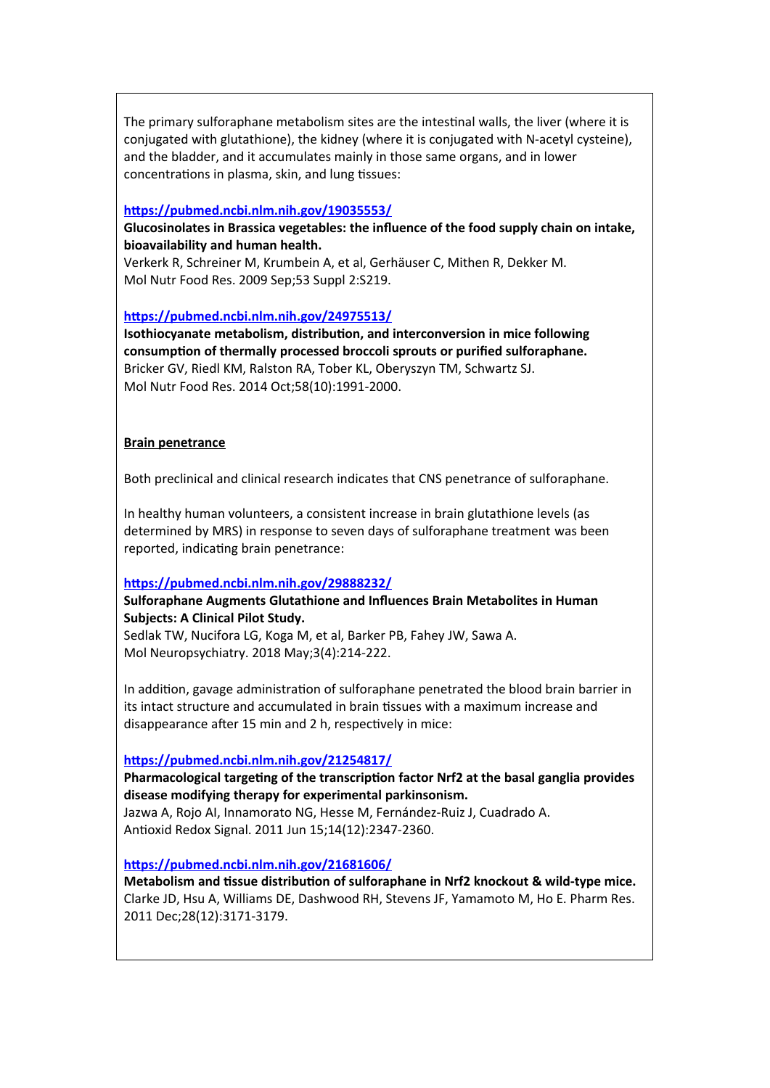The primary sulforaphane metabolism sites are the intestinal walls, the liver (where it is conjugated with glutathione), the kidney (where it is conjugated with N-acetyl cysteine), and the bladder, and it accumulates mainly in those same organs, and in lower concentrations in plasma, skin, and lung tissues:

## **<https://pubmed.ncbi.nlm.nih.gov/19035553/>**

**Glucosinolates in Brassica vegetables: the influence of the food supply chain on intake, bioavailability and human health.**

Verkerk R, Schreiner M, Krumbein A, et al, Gerhäuser C, Mithen R, Dekker M. Mol Nutr Food Res. 2009 Sep;53 Suppl 2:S219.

## **<https://pubmed.ncbi.nlm.nih.gov/24975513/>**

**Isothiocyanate metabolism, distribution, and interconversion in mice following consumption of thermally processed broccoli sprouts or purified sulforaphane.** Bricker GV, Riedl KM, Ralston RA, Tober KL, Oberyszyn TM, Schwartz SJ. Mol Nutr Food Res. 2014 Oct;58(10):1991-2000.

## **Brain penetrance**

Both preclinical and clinical research indicates that CNS penetrance of sulforaphane.

In healthy human volunteers, a consistent increase in brain glutathione levels (as determined by MRS) in response to seven days of sulforaphane treatment was been reported, indicating brain penetrance:

## **<https://pubmed.ncbi.nlm.nih.gov/29888232/>**

**Sulforaphane Augments Glutathione and Influences Brain Metabolites in Human Subjects: A Clinical Pilot Study.** Sedlak TW, Nucifora LG, Koga M, et al, Barker PB, Fahey JW, Sawa A.

Mol Neuropsychiatry. 2018 May;3(4):214-222.

In addition, gavage administration of sulforaphane penetrated the blood brain barrier in its intact structure and accumulated in brain tissues with a maximum increase and disappearance after 15 min and 2 h, respectively in mice:

**<https://pubmed.ncbi.nlm.nih.gov/21254817/>**

## **Pharmacological targeting of the transcription factor Nrf2 at the basal ganglia provides disease modifying therapy for experimental parkinsonism.**

Jazwa A, Rojo AI, Innamorato NG, Hesse M, Fernández-Ruiz J, Cuadrado A. Antioxid Redox Signal. 2011 Jun 15;14(12):2347-2360.

**<https://pubmed.ncbi.nlm.nih.gov/21681606/>**

**Metabolism and tissue distribution of sulforaphane in Nrf2 knockout & wild-type mice.** Clarke JD, Hsu A, Williams DE, Dashwood RH, Stevens JF, Yamamoto M, Ho E. Pharm Res. 2011 Dec;28(12):3171-3179.